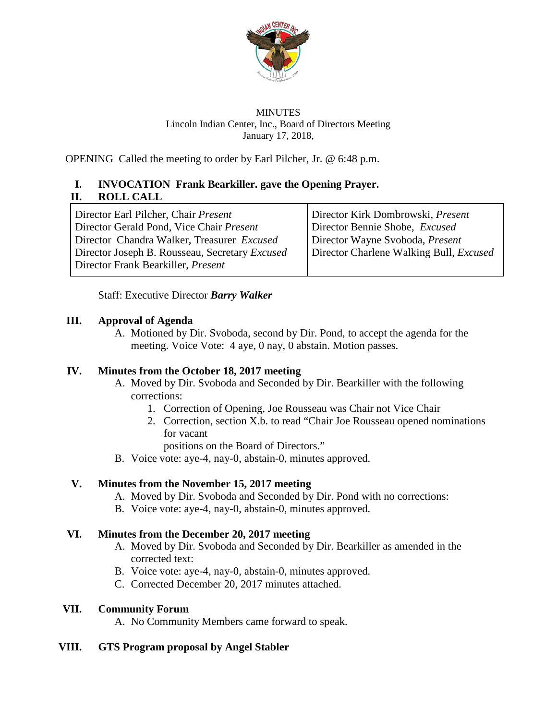

### MINUTES Lincoln Indian Center, Inc., Board of Directors Meeting January 17, 2018,

OPENING Called the meeting to order by Earl Pilcher, Jr. @ 6:48 p.m.

# **I. INVOCATION Frank Bearkiller. gave the Opening Prayer. II. ROLL CALL**

Director Earl Pilcher, Chair *Present* Director Gerald Pond, Vice Chair *Present* Director Chandra Walker, Treasurer *Excused* Director Joseph B. Rousseau, Secretary *Excused* Director Frank Bearkiller, *Present* Director Kirk Dombrowski, *Present* Director Bennie Shobe, *Excused* Director Wayne Svoboda, *Present* Director Charlene Walking Bull, *Excused*

Staff: Executive Director *Barry Walker*

## **III. Approval of Agenda**

A. Motioned by Dir. Svoboda, second by Dir. Pond, to accept the agenda for the meeting. Voice Vote: 4 aye, 0 nay, 0 abstain. Motion passes.

# **IV. Minutes from the October 18, 2017 meeting**

- A. Moved by Dir. Svoboda and Seconded by Dir. Bearkiller with the following corrections:
	- 1. Correction of Opening, Joe Rousseau was Chair not Vice Chair
	- 2. Correction, section X.b. to read "Chair Joe Rousseau opened nominations for vacant

positions on the Board of Directors."

B. Voice vote: aye-4, nay-0, abstain-0, minutes approved.

# **V. Minutes from the November 15, 2017 meeting**

- A. Moved by Dir. Svoboda and Seconded by Dir. Pond with no corrections:
- B. Voice vote: aye-4, nay-0, abstain-0, minutes approved.

## **VI. Minutes from the December 20, 2017 meeting**

- A. Moved by Dir. Svoboda and Seconded by Dir. Bearkiller as amended in the corrected text:
- B. Voice vote: aye-4, nay-0, abstain-0, minutes approved.
- C. Corrected December 20, 2017 minutes attached.

## **VII. Community Forum**

A. No Community Members came forward to speak.

## **VIII. GTS Program proposal by Angel Stabler**